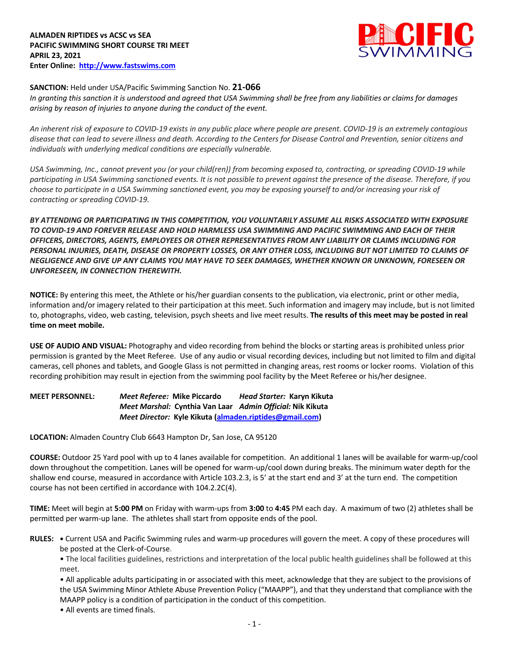

# **SANCTION:** Held under USA/Pacific Swimming Sanction No. **21-066**

*In granting this sanction it is understood and agreed that USA Swimming shall be free from any liabilities or claims for damages arising by reason of injuries to anyone during the conduct of the event.* 

*An inherent risk of exposure to COVID-19 exists in any public place where people are present. COVID-19 is an extremely contagious disease that can lead to severe illness and death. According to the Centers for Disease Control and Prevention, senior citizens and individuals with underlying medical conditions are especially vulnerable.*

*USA Swimming, Inc., cannot prevent you (or your child(ren)) from becoming exposed to, contracting, or spreading COVID-19 while participating in USA Swimming sanctioned events. It is not possible to prevent against the presence of the disease. Therefore, if you choose to participate in a USA Swimming sanctioned event, you may be exposing yourself to and/or increasing your risk of contracting or spreading COVID-19.*

*BY ATTENDING OR PARTICIPATING IN THIS COMPETITION, YOU VOLUNTARILY ASSUME ALL RISKS ASSOCIATED WITH EXPOSURE TO COVID-19 AND FOREVER RELEASE AND HOLD HARMLESS USA SWIMMING AND PACIFIC SWIMMING AND EACH OF THEIR OFFICERS, DIRECTORS, AGENTS, EMPLOYEES OR OTHER REPRESENTATIVES FROM ANY LIABILITY OR CLAIMS INCLUDING FOR PERSONAL INJURIES, DEATH, DISEASE OR PROPERTY LOSSES, OR ANY OTHER LOSS, INCLUDING BUT NOT LIMITED TO CLAIMS OF NEGLIGENCE AND GIVE UP ANY CLAIMS YOU MAY HAVE TO SEEK DAMAGES, WHETHER KNOWN OR UNKNOWN, FORESEEN OR UNFORESEEN, IN CONNECTION THEREWITH.*

**NOTICE:** By entering this meet, the Athlete or his/her guardian consents to the publication, via electronic, print or other media, information and/or imagery related to their participation at this meet. Such information and imagery may include, but is not limited to, photographs, video, web casting, television, psych sheets and live meet results. **The results of this meet may be posted in real time on meet mobile.**

**USE OF AUDIO AND VISUAL:** Photography and video recording from behind the blocks or starting areas is prohibited unless prior permission is granted by the Meet Referee. Use of any audio or visual recording devices, including but not limited to film and digital cameras, cell phones and tablets, and Google Glass is not permitted in changing areas, rest rooms or locker rooms. Violation of this recording prohibition may result in ejection from the swimming pool facility by the Meet Referee or his/her designee.

**MEET PERSONNEL:** *Meet Referee:* **Mike Piccardo** *Head Starter:* **Karyn Kikuta** *Meet Marshal:* **Cynthia Van Laar** *Admin Official:* **Nik Kikuta** *Meet Director:* **Kyle Kikuta (almaden.riptides@gmail.com)**

**LOCATION:** Almaden Country Club 6643 Hampton Dr, San Jose, CA 95120

**COURSE:** Outdoor 25 Yard pool with up to 4 lanes available for competition. An additional 1 lanes will be available for warm-up/cool down throughout the competition. Lanes will be opened for warm-up/cool down during breaks. The minimum water depth for the shallow end course, measured in accordance with Article 103.2.3, is 5' at the start end and 3' at the turn end. The competition course has not been certified in accordance with 104.2.2C(4).

**TIME:** Meet will begin at **5:00 PM** on Friday with warm-ups from **3:00** to **4:45** PM each day. A maximum of two (2) athletes shall be permitted per warm-up lane. The athletes shall start from opposite ends of the pool.

**RULES: •** Current USA and Pacific Swimming rules and warm-up procedures will govern the meet. A copy of these procedures will be posted at the Clerk-of-Course.

• The local facilities guidelines, restrictions and interpretation of the local public health guidelines shall be followed at this meet.

• All applicable adults participating in or associated with this meet, acknowledge that they are subject to the provisions of the USA Swimming Minor Athlete Abuse Prevention Policy ("MAAPP"), and that they understand that compliance with the MAAPP policy is a condition of participation in the conduct of this competition.

• All events are timed finals.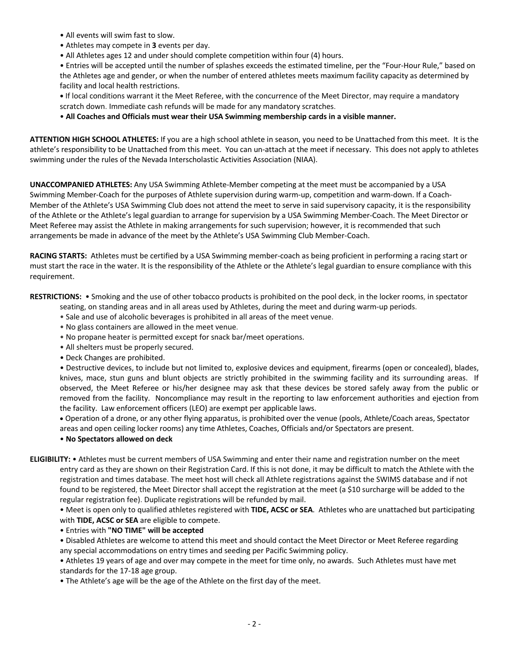- All events will swim fast to slow.
- Athletes may compete in **3** events per day.
- All Athletes ages 12 and under should complete competition within four (4) hours.

• Entries will be accepted until the number of splashes exceeds the estimated timeline, per the "Four-Hour Rule," based on the Athletes age and gender, or when the number of entered athletes meets maximum facility capacity as determined by facility and local health restrictions.

**•** If local conditions warrant it the Meet Referee, with the concurrence of the Meet Director, may require a mandatory scratch down. Immediate cash refunds will be made for any mandatory scratches.

• **All Coaches and Officials must wear their USA Swimming membership cards in a visible manner.** 

**ATTENTION HIGH SCHOOL ATHLETES:** If you are a high school athlete in season, you need to be Unattached from this meet. It is the athlete's responsibility to be Unattached from this meet. You can un-attach at the meet if necessary. This does not apply to athletes swimming under the rules of the Nevada Interscholastic Activities Association (NIAA).

**UNACCOMPANIED ATHLETES:** Any USA Swimming Athlete-Member competing at the meet must be accompanied by a USA Swimming Member-Coach for the purposes of Athlete supervision during warm-up, competition and warm-down. If a Coach-Member of the Athlete's USA Swimming Club does not attend the meet to serve in said supervisory capacity, it is the responsibility of the Athlete or the Athlete's legal guardian to arrange for supervision by a USA Swimming Member-Coach. The Meet Director or Meet Referee may assist the Athlete in making arrangements for such supervision; however, it is recommended that such arrangements be made in advance of the meet by the Athlete's USA Swimming Club Member-Coach.

**RACING STARTS:** Athletes must be certified by a USA Swimming member-coach as being proficient in performing a racing start or must start the race in the water. It is the responsibility of the Athlete or the Athlete's legal guardian to ensure compliance with this requirement.

**RESTRICTIONS:** • Smoking and the use of other tobacco products is prohibited on the pool deck, in the locker rooms, in spectator

seating, on standing areas and in all areas used by Athletes, during the meet and during warm-up periods.

- Sale and use of alcoholic beverages is prohibited in all areas of the meet venue.
- No glass containers are allowed in the meet venue.
- No propane heater is permitted except for snack bar/meet operations.
- All shelters must be properly secured.
- Deck Changes are prohibited.

• Destructive devices, to include but not limited to, explosive devices and equipment, firearms (open or concealed), blades, knives, mace, stun guns and blunt objects are strictly prohibited in the swimming facility and its surrounding areas. If observed, the Meet Referee or his/her designee may ask that these devices be stored safely away from the public or removed from the facility. Noncompliance may result in the reporting to law enforcement authorities and ejection from the facility. Law enforcement officers (LEO) are exempt per applicable laws.

• Operation of a drone, or any other flying apparatus, is prohibited over the venue (pools, Athlete/Coach areas, Spectator areas and open ceiling locker rooms) any time Athletes, Coaches, Officials and/or Spectators are present.

## • **No Spectators allowed on deck**

**ELIGIBILITY:** • Athletes must be current members of USA Swimming and enter their name and registration number on the meet entry card as they are shown on their Registration Card. If this is not done, it may be difficult to match the Athlete with the registration and times database. The meet host will check all Athlete registrations against the SWIMS database and if not found to be registered, the Meet Director shall accept the registration at the meet (a \$10 surcharge will be added to the regular registration fee). Duplicate registrations will be refunded by mail.

• Meet is open only to qualified athletes registered with **TIDE, ACSC or SEA**. Athletes who are unattached but participating with **TIDE, ACSC or SEA** are eligible to compete.

#### • Entries with **"NO TIME" will be accepted**

• Disabled Athletes are welcome to attend this meet and should contact the Meet Director or Meet Referee regarding any special accommodations on entry times and seeding per Pacific Swimming policy.

• Athletes 19 years of age and over may compete in the meet for time only, no awards. Such Athletes must have met standards for the 17-18 age group.

• The Athlete's age will be the age of the Athlete on the first day of the meet.